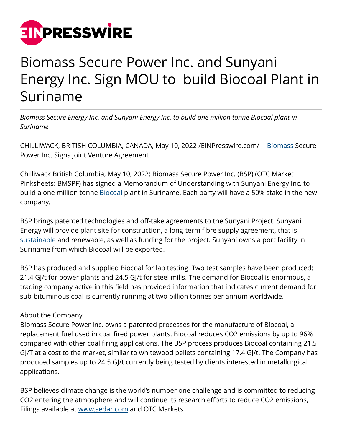

## Biomass Secure Power Inc. and Sunyani Energy Inc. Sign MOU to build Biocoal Plant in Suriname

*Biomass Secure Energy Inc. and Sunyani Energy Inc. to build one million tonne Biocoal plant in Suriname*

CHILLIWACK, BRITISH COLUMBIA, CANADA, May 10, 2022 /[EINPresswire.com/](http://www.einpresswire.com) -- [Biomass](http://www.biomasssecurepower.com) Secure Power Inc. Signs Joint Venture Agreement

Chilliwack British Columbia, May 10, 2022: Biomass Secure Power Inc. (BSP) (OTC Market Pinksheets: BMSPF) has signed a Memorandum of Understanding with Sunyani Energy Inc. to build a one million tonne **Biocoal plant in Suriname. Each party will** have a 50% stake in the new company.

BSP brings patented technologies and off-take agreements to the Sunyani Project. Sunyani Energy will provide plant site for construction, a long-term fibre supply agreement, that is [sustainable](http://www.biomasssecurepower.com) and renewable, as well as funding for the project. Sunyani owns a port facility in Suriname from which Biocoal will be exported.

BSP has produced and supplied Biocoal for lab testing. Two test samples have been produced: 21.4 GJ/t for power plants and 24.5 GJ/t for steel mills. The demand for Biocoal is enormous, a trading company active in this field has provided information that indicates current demand for sub-bituminous coal is currently running at two billion tonnes per annum worldwide.

## About the Company

Biomass Secure Power Inc. owns a patented processes for the manufacture of Biocoal, a replacement fuel used in coal fired power plants. Biocoal reduces CO2 emissions by up to 96% compared with other coal firing applications. The BSP process produces Biocoal containing 21.5 GJ/T at a cost to the market, similar to whitewood pellets containing 17.4 GJ/t. The Company has produced samples up to 24.5 GJ/t currently being tested by clients interested in metallurgical applications.

BSP believes climate change is the world's number one challenge and is committed to reducing CO2 entering the atmosphere and will continue its research efforts to reduce CO2 emissions, Filings available at [www.sedar.com](http://www.sedar.com) and OTC Markets